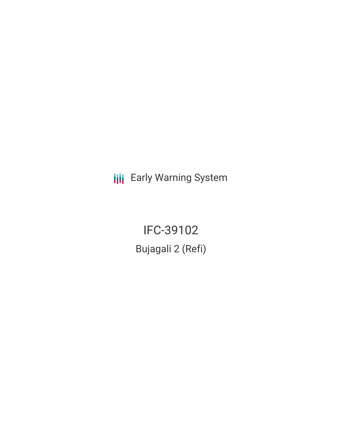**III** Early Warning System

IFC-39102 Bujagali 2 (Refi)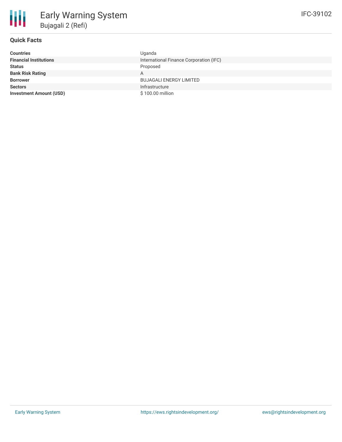# **Quick Facts**

| <b>Countries</b>               | Uganda                                  |
|--------------------------------|-----------------------------------------|
| <b>Financial Institutions</b>  | International Finance Corporation (IFC) |
| <b>Status</b>                  | Proposed                                |
| <b>Bank Risk Rating</b>        | Α                                       |
| <b>Borrower</b>                | <b>BUJAGALI ENERGY LIMITED</b>          |
| <b>Sectors</b>                 | Infrastructure                          |
| <b>Investment Amount (USD)</b> | \$100.00 million                        |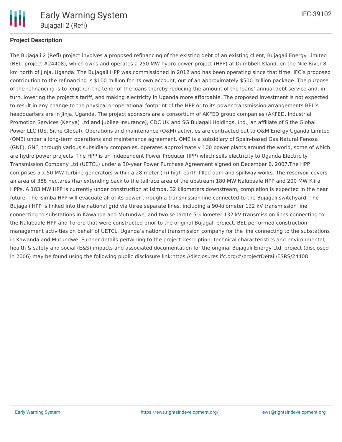

# **Project Description**

The Bujagali 2 (Refi) project involves a proposed refinancing of the existing debt of an existing client, Bujagali Energy Limited (BEL, project #24408), which owns and operates a 250 MW hydro power project (HPP) at Dumbbell Island, on the Nile River 8 km north of Jinja, Uganda. The Bujagali HPP was commissioned in 2012 and has been operating since that time. IFC's proposed contribution to the refinancing is \$100 million for its own account, out of an approximately \$500 million package. The purpose of the refinancing is to lengthen the tenor of the loans thereby reducing the amount of the loans' annual debt service and, in turn, lowering the project's tariff, and making electricity in Uganda more affordable. The proposed investment is not expected to result in any change to the physical or operational footprint of the HPP or to its power transmission arrangements.BEL's headquarters are in Jinja, Uganda. The project sponsors are a consortium of AKFED group companies (AKFED, Industrial Promotion Services (Kenya) Ltd and Jubilee Insurance), CDC UK and SG Bujagali Holdings, Ltd., an affiliate of Sithe Global Power LLC (US, Sithe Global). Operations and maintenance (O&M) activities are contracted out to O&M Energy Uganda Limited (OME) under a long-term operations and maintenance agreement. OME is a subsidiary of Spain-based Gas Natural Fenosa (GNF). GNF, through various subsidiary companies, operates approximately 100 power plants around the world, some of which are hydro power projects. The HPP is an Independent Power Producer (IPP) which sells electricity to Uganda Electricity Transmission Company Ltd (UETCL) under a 30-year Power Purchase Agreement signed on December 6, 2007.The HPP comprises 5 x 50 MW turbine generators within a 28 meter (m) high earth-filled dam and spillway works. The reservoir covers an area of 388 hectares (ha) extending back to the tailrace area of the upstream 180 MW Nalubaale HPP and 200 MW Kiira HPPs. A 183 MW HPP is currently under construction at Isimba, 32 kilometers downstream; completion is expected in the near future. The Isimba HPP will evacuate all of its power through a transmission line connected to the Bujagali switchyard. The Bujagali HPP is linked into the national grid via three separate lines, including a 90-kilometer 132 kV transmission line connecting to substations in Kawanda and Mutundwe, and two separate 5-kilometer 132 kV transmission lines connecting to the Nalubaale HPP and Tororo that were constructed prior to the original Bujagali project. BEL performed construction management activities on behalf of UETCL, Uganda's national transmission company for the line connecting to the substations in Kawanda and Mutundwe. Further details pertaining to the project description, technical characteristics and environmental, health & safety and social (E&S) impacts and associated documentation for the original Bujagali Energy Ltd. project (disclosed in 2006) may be found using the following public disclosure link:https://disclosures.ifc.org/#/projectDetail/ESRS/24408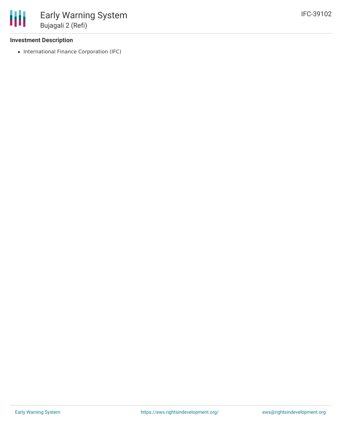### **Investment Description**

• International Finance Corporation (IFC)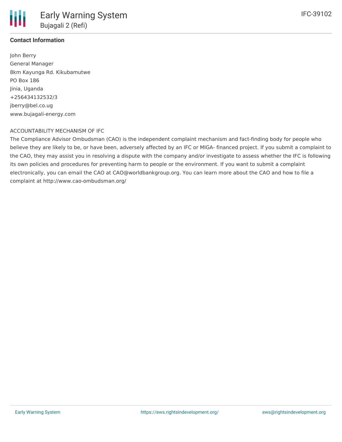## **Contact Information**

Ш

John Berry General Manager 8km Kayunga Rd. Kikubamutwe PO Box 186 Jinia, Uganda +256434132532/3 jberry@bel.co.ug www.bujagali-energy.com

### ACCOUNTABILITY MECHANISM OF IFC

The Compliance Advisor Ombudsman (CAO) is the independent complaint mechanism and fact-finding body for people who believe they are likely to be, or have been, adversely affected by an IFC or MIGA- financed project. If you submit a complaint to the CAO, they may assist you in resolving a dispute with the company and/or investigate to assess whether the IFC is following its own policies and procedures for preventing harm to people or the environment. If you want to submit a complaint electronically, you can email the CAO at CAO@worldbankgroup.org. You can learn more about the CAO and how to file a complaint at http://www.cao-ombudsman.org/